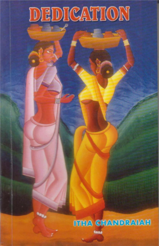# DEDICATION

# **ITHA CHANDRAIAH**

Good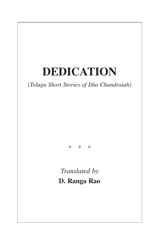# **DEDICATION**

*(Telugu Short Stories of Itha Chandraiah)*

\*\*\*

*Translated by* **D. Ranga Rao**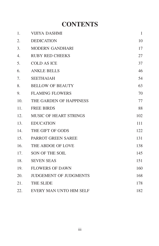#### **CONTENTS**

| 1.  | VIJIYA DASHMI                 | 1   |
|-----|-------------------------------|-----|
| 2.  | <b>DEDICATION</b>             | 10  |
| 3.  | <b>MODERN GANDHARI</b>        | 17  |
| 4.  | <b>RUBY RED CHEEKS</b>        | 27  |
| 5.  | <b>COLD AS ICE</b>            | 37  |
| 6.  | <b>ANKLE BELLS</b>            | 46  |
| 7.  | <b>SEETHAIAH</b>              | 54  |
| 8.  | <b>BELLOW OF BEAUTY</b>       | 63  |
| 9.  | <b>FLAMING FLOWERS</b>        | 70  |
| 10. | THE GARDEN OF HAPPINESS       | 77  |
| 11. | <b>FREE BIRDS</b>             | 88  |
| 12. | <b>MUSIC OF HEART STRINGS</b> | 102 |
| 13. | <b>EDUCATION</b>              | 111 |
| 14. | THE GIFT OF GODS              | 122 |
| 15. | <b>PARROT GREEN SAREE</b>     | 131 |
| 16. | THE ABDOE OF LOVE             | 138 |
| 17. | SON OF THE SOIL               | 145 |
| 18. | <b>SEVEN SEAS</b>             | 151 |
| 19. | <b>FLOWERS OF DAWN</b>        | 160 |
| 20. | <b>JUDGEMENT OF JUDGMENTS</b> | 168 |
| 21. | THE SLIDE                     | 178 |
| 22. | EVERY MAN UNTO HIM SELF       | 182 |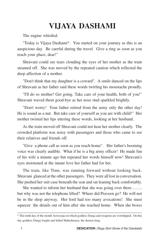### **VIJAYA DASHAMI**

The engine whistled.

"Today is Vijaya Dashami\*. You started on your journey as this is an auspicious day. Be careful during the travel. Give a ring as soon as you reach your place, dear!"

Shravani could see tears clouding the eyes of her mother as the train steamed off. She was moved by the repeated caution which reflected the deep affection of a mother.

"Don't think that my daughter is a coward". A smile danced on the lips of Shravani as her father said these words twirling his moustache proudly.

"I'll do so mother! Get going. Take care of your health, both of you!" Shravani waved them good-bye as her nose stud sparkled brightly.

"Don't worry! Your father retired from the army only the other day! He is sound as a nut. But take care of yourself as you are with child!" Her mother twisted her lips uttering these words, looking at her husband.

As the train moved off Shravani could not hear her mother clearly. The crowded platform was noisy with passengers and those who came to see their relatives and friends off.

"Give a phone call as soon as you reach home". Her father's booming voice was clearly audible. What if he is a big army officer! He made fun of his wife a minute ago but repeated her words himself now! Shravani's eyes moistened at the innate love her father had for her.

The train, like Time, was running forward without looking back. Shravani glanced at the other passengers. They were all lost in conversation. She pushed her suit case beneath the seat and sat leaning back comfortably.

She wanted to inform her husband that she was going over there…….. but why was not the telephone lifted? Where did Praveen go? He will not be in the shop anyway. Her lord had too many avocations! She must squeeze the details out of him after she reached home. When she boxes

\_\_\_\_\_\_\_\_\_\_\_\_\_\_\_\_\_\_\_\_\_\_\_\_\_\_\_\_\_\_\_\_\_\_\_\_\_\_\_\_\_\_\_\_\_\_\_\_\_\_\_\_\_\_\_\_\_\_\_\_\_\_\_\_\_\_\_\_\_\_\_\_\_\_\_ \* The tenth day of the month Asweyuja on which goddess Durga and weapons are worshipped. On this day goddess Durga fought and killed Mahishasura, the demon king.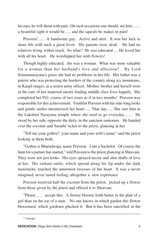his ears, he will shout with pain. On such occasions one should see him…… a beautiful sight it would be….. and the squeals he makes in pain!

Praveen!....... A handsome guy. Active and alert. It was her luck to share life with such a great lover. His parents were dead. He had no relatives living within reach. So what? He was educated…. He loved her with all his heart. He worshipped her with flowers!

Though highly educated, she was a woman. What was more valuable for a woman than her husband's love and affection? By Lord Srimannarayana's grace she had no problems in her life. Her father was a patriot who was protecting the borders of the country along icy mountains, in Kargil ranges, as a senior army officer. Mother, brother and herself were in the care of her maternal uncles leading middle class lives happily. She completed her P.G. course of two years as if in two months! Praveen was responsible for this achievement. Youthful Praveen with his side-long looks and gentle smiles mesmerized her heart….. That day….. She saw him in the Lakshmi Narayana temple where she used to go everyday…… He stood by her side, opposite the deity, in the sanctum santorum. He handed over the coconut and 'harathi' ticket to the priest, glancing at her.

"Tell me your gothra\*, your name and your wife's name" said the priest looking at them both.

"Gothra is Bharadwaja, name Praveen. I am a bachelor. Of course the hunt for a partner has started," told Praveen to the priest glancing at Shravani. They were not just looks. His eyes sprayed nectar and shot shafts of love at her. His radiant smile, which spread along his lip under the dark moustache, touched the innermost recesses of her heart. It was a never imagined, never tasted feeling, altogether a new experience

Praveen received half the coconut from the priest, picked up a flower from those given by the priest and offered it to Shravani.

"Please…… accept this. A flower blooms forth better in the plait of a girl than on the ear of a man. No one knows in which garden this flower blossomed, which gardener plucked it. But it has been sanctified in the

\_\_\_\_\_\_\_\_\_\_\_\_\_\_\_\_\_\_\_\_\_\_\_\_\_\_\_\_\_\_\_\_\_\_\_\_\_\_\_\_\_\_\_\_\_\_\_\_\_\_\_\_\_\_\_\_\_\_\_\_\_\_\_\_\_\_\_\_\_\_\_\_\_\_\_

<sup>\*</sup> Lineage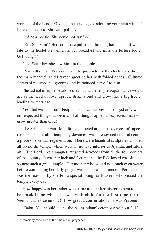worship of the Lord. Give me the privilege of adorning your plait with it." Praveen spoke to Shravani politely.

Oh! how poetic! She could not say 'no' .

"Eai, Shravani!" Her roommate pulled her holding her hand. "If we go late to the hostel we will miss our breakfast and miss the lecture too…. Get along !"

Next Saturday she saw him in the temple.

"Namasthe, I am Praveen. I am the proprietor of the electronics shop in the main market", said Praveen greeting her with folded hands. Cultured Shravani returned his greeting and introduced herself to him.

She did not imagine, let alone dream, that the simple acquaintance would act as the seed of love, sprout, strike a bud and grow into a big tree…. leading to marriage.

Yes, that was the truth! People recognize the presence of god only when un- expected things happened. If all things happen as expected, man will grow greater than God!

The Srimannarayana Mandir, constructed at a cost of crores of rupees, the most sought after temple by devotees, was a renowned cultural centre, a place of spiritual regeneration. There were beautiful sculptures chistled all round the temple which were in no way inferior to Ajantha and Elora art. The Lord, like a magnet, attracted devotees from all the four corners of the country. It was her luck and fortune that the P.G. hostel was situated so near such a great temple. Her mother who would not touch even water before completing her daily pooja, was her ideal and model. Perhaps that was the reason why she felt a special liking for Praveen who visited the temple every day.

How happy was her father who came to her after his retirement to take her back home when she was with child for the first time for the 'seemantham'\* ceremony! How great a conversationalist was Praveen!

"Babu! You should attend the 'seemantham' ceremony without fail." \_\_\_\_\_\_\_\_\_\_\_\_\_\_\_\_\_\_\_\_\_\_\_\_\_\_\_\_\_\_\_\_\_\_\_\_\_\_\_\_\_\_\_\_\_\_\_\_\_\_\_\_\_\_\_\_\_\_\_\_\_\_\_\_\_\_\_\_\_\_\_\_\_\_\_

<sup>\*</sup> A ceremony performed at the time of first pregnancy.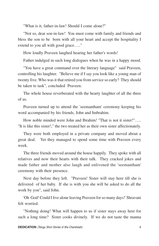"What is it, father-in-law! Should I come alone?"

"Not so, dear son-in-law! You must come with family and friends and bless the son to be born with all your heart and accept the hospitality I extend to you all with good grace….."

How loudly Praveen laughed hearing her father's words!

Father indulged in such long dialogues when he was in a happy mood.

"You have a great command over the literary language" said Praveen, controlling his laughter. "Believe me if I say you look like a young man of twenty five. Who was it that retired you from service so early? They should be taken to task", concluded Praveen.

The whole house reverberated with the hearty laughter of all the three of us.

Praveen turned up to attend the 'seemantham' ceremony keeping his word accompanied by his friends, John and Imbrahim.

How noble minded were John and Ibrahim! "That is not it sister!"….. "It is like this sister!," the two treated her as their own sister affectionately.

They were both employed in a private company and moved about a great deal. Yet they managed to spend some time with Praveen every week.

The three friends moved around the house happily. They spoke with all relatives and now their hearts with their talk. They cracked jokes and made father and mother also laugh and enlivened the 'seemantham' ceremony with their presence.

Next day before they left. "Praveen! Sister will stay here till she is delivered of her baby. If she is with you she will be asked to do all the work by you", said John.

'Oh God! Could I live alone leaving Praveen for so many days!' Shravani felt worried.

"Nothing doing! What will happen to us if sister stays away here for such a long time? Sister cooks divinely. If we do not taste the manna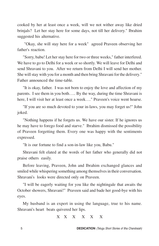cooked by her at least once a week, will we not wither away like dried brinjals? Let her stay here for some days, not till her delivery." Ibrahim suggested his alternative.

 "Okay, she will stay here for a week" agreed Praveen observing her father's reaction.

"Sorry, babu! Let her stay here for two or three weeks," father interfered. We have to go to Delhi for a week or so shortly. We will leave for Delhi and send Shravani to you. After we return from Delhi I will send her mother. She will stay with you for a month and then bring Shravani for the delivery." Father announced the time-table.

"It is okay, father. I was not born to enjoy the love and affection of my parents. I see them in you both….. By the way, during the time Shravani is here, I will visit her at least once a week…." Praveen's voice went hoarse.

"If you are so much devoted to your in-laws, you may forget us!" John joked.

"Nothing happens if he forgets us. We have our sister. If he ignores us he may have to forego food and starve." Ibrahim dismissed the possibility of Praveen forgetting them. Every one was happy with the sentiments expressed.

"It is our fortune to find a son-in-law like you, Babu."

Shravani felt elated at the words of her father who generally did not praise others easily.

Before leaving, Praveen, John and Ibrahim exchanged glances and smiled while whispering something among themselves in their conversation. Shravani's looks were directed only on Praveen.

"I will be eagerly waiting for you like the nightingale that awaits the October showers, Shravani!" Praveen said and bade her good-bye with his eyes.

My husband is an expert in using the language, true to his name. Shravani's heart beats quivered her lips.

X X X X X X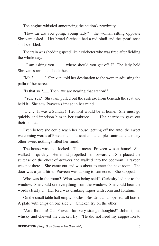The engine whistled announcing the station's proximity.

"How far are you going, young lady?" the woman sitting opposite Shravani asked. Her broad forehead had a red bindi and the pearl nose stud sparkled.

The train was shedding speed like a cricketer who was tired after fielding the whole day.

 "I am asking you…….. where should you get off ?" The lady held Shravani's arm and shook her.

"Me ? …….." Shravani told her destination to the woman adjusting the pallu of her saree.

"Is that so ?...... Then we are nearing that station!"

 "Yes, Yes." Shravani pulled out the suitcase from beneath the seat and held it. She saw Praveen's image in her mind.

……… It was a Sunday! Her lord would be at home. She must go quickly and imprison him in her embrace……. Her heartbeats gave out their smiles.

Even before she could reach her house, getting off the auto, the sweet welcoming words of Praveen….. pleasant chat…… pleasantries…… many other sweet nothings filled her mind.

The house was not locked. That means Praveen was at home! She walked in quickly. Her mind propelled her forward….. She placed the suitcase on the chest of drawers and walked into the bedroom. Praveen was not there. She came out and was about to enter the next room. The door was a-jar a little. Praveen was talking to someone. She stopped.

Who was in the room? What was being said? Curiosity led her to the window. She could see everything from the window. She could hear the words clearly….. Her lord was drinking liquor with John and Ibrahim.

On the small table half empty bottles. Beside it an unopened full bottle. A plate with chips on one side….. Chicken fry on the other.

"Arre Ibrahim! Our Praveen has very strange thoughts!" John sipped whisky and chewed the chicken fry. "He did not heed my suggestion to